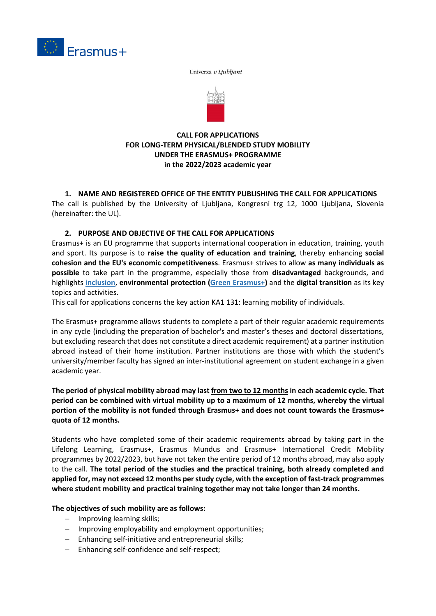

Univerza v Ljubljani



### **CALL FOR APPLICATIONS FOR LONG-TERM PHYSICAL/BLENDED STUDY MOBILITY UNDER THE ERASMUS+ PROGRAMME in the 2022/2023 academic year**

# **1. NAME AND REGISTERED OFFICE OF THE ENTITY PUBLISHING THE CALL FOR APPLICATIONS**

The call is published by the University of Ljubljana, Kongresni trg 12, 1000 Ljubljana, Slovenia (hereinafter: the UL).

### **2. PURPOSE AND OBJECTIVE OF THE CALL FOR APPLICATIONS**

Erasmus+ is an EU programme that supports international cooperation in education, training, youth and sport. Its purpose is to **raise the quality of education and training**, thereby enhancing **social cohesion and the EU's economic competitiveness**. Erasmus+ strives to allow **as many individuals as possible** to take part in the programme, especially those from **disadvantaged** backgrounds, and highlights **[inclusion](https://www.cmepius.si/mednarodno-sodelovanje/moznosti-sodelovanja/vkljucujoci-erasmus/)**, **environmental protection [\(Green Erasmus+\)](https://www.cmepius.si/mednarodno-sodelovanje/moznosti-sodelovanja/zeleni-erasmus/)** and the **digital transition** as its key topics and activities.

This call for applications concerns the key action KA1 131: learning mobility of individuals.

The Erasmus+ programme allows students to complete a part of their regular academic requirements in any cycle (including the preparation of bachelor's and master's theses and doctoral dissertations, but excluding research that does not constitute a direct academic requirement) at a partner institution abroad instead of their home institution. Partner institutions are those with which the student's university/member faculty has signed an inter-institutional agreement on student exchange in a given academic year.

### **The period of physical mobility abroad may last from two to 12 months in each academic cycle. That period can be combined with virtual mobility up to a maximum of 12 months, whereby the virtual portion of the mobility is not funded through Erasmus+ and does not count towards the Erasmus+ quota of 12 months.**

Students who have completed some of their academic requirements abroad by taking part in the Lifelong Learning, Erasmus+, Erasmus Mundus and Erasmus+ International Credit Mobility programmes by 2022/2023, but have not taken the entire period of 12 months abroad, may also apply to the call. **The total period of the studies and the practical training, both already completed and applied for, may not exceed 12 months per study cycle, with the exception of fast-track programmes where student mobility and practical training together may not take longer than 24 months.** 

**The objectives of such mobility are as follows:**

- − Improving learning skills;
- − Improving employability and employment opportunities;
- − Enhancing self-initiative and entrepreneurial skills;
- − Enhancing self-confidence and self-respect;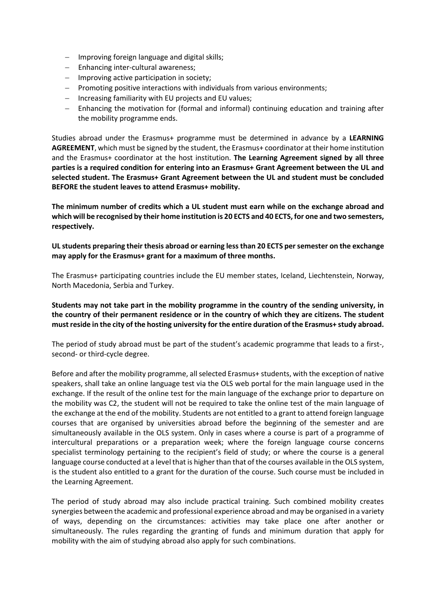- − Improving foreign language and digital skills;
- − Enhancing inter-cultural awareness;
- − Improving active participation in society;
- − Promoting positive interactions with individuals from various environments;
- − Increasing familiarity with EU projects and EU values;
- − Enhancing the motivation for (formal and informal) continuing education and training after the mobility programme ends.

Studies abroad under the Erasmus+ programme must be determined in advance by a **LEARNING AGREEMENT**, which must be signed by the student, the Erasmus+ coordinator at their home institution and the Erasmus+ coordinator at the host institution. **The Learning Agreement signed by all three parties is a required condition for entering into an Erasmus+ Grant Agreement between the UL and selected student. The Erasmus+ Grant Agreement between the UL and student must be concluded BEFORE the student leaves to attend Erasmus+ mobility.**

**The minimum number of credits which a UL student must earn while on the exchange abroad and which will be recognised by their home institution is 20 ECTS and 40 ECTS, for one and two semesters, respectively.**

**UL students preparing their thesis abroad or earning less than 20 ECTS per semester on the exchange may apply for the Erasmus+ grant for a maximum of three months.**

The Erasmus+ participating countries include the EU member states, Iceland, Liechtenstein, Norway, North Macedonia, Serbia and Turkey.

**Students may not take part in the mobility programme in the country of the sending university, in the country of their permanent residence or in the country of which they are citizens. The student must reside in the city of the hosting university for the entire duration of the Erasmus+ study abroad.**

The period of study abroad must be part of the student's academic programme that leads to a first-, second- or third-cycle degree.

Before and after the mobility programme, all selected Erasmus+ students, with the exception of native speakers, shall take an online language test via the OLS web portal for the main language used in the exchange. If the result of the online test for the main language of the exchange prior to departure on the mobility was C2, the student will not be required to take the online test of the main language of the exchange at the end of the mobility. Students are not entitled to a grant to attend foreign language courses that are organised by universities abroad before the beginning of the semester and are simultaneously available in the OLS system. Only in cases where a course is part of a programme of intercultural preparations or a preparation week; where the foreign language course concerns specialist terminology pertaining to the recipient's field of study; or where the course is a general language course conducted at a level that is higher than that of the courses available in the OLS system, is the student also entitled to a grant for the duration of the course. Such course must be included in the Learning Agreement.

The period of study abroad may also include practical training. Such combined mobility creates synergies between the academic and professional experience abroad and may be organised in a variety of ways, depending on the circumstances: activities may take place one after another or simultaneously. The rules regarding the granting of funds and minimum duration that apply for mobility with the aim of studying abroad also apply for such combinations.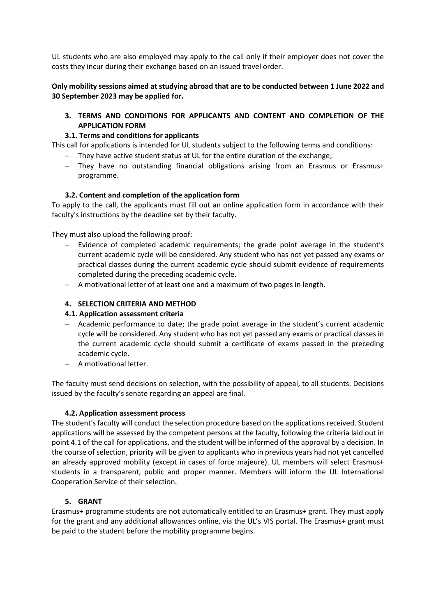UL students who are also employed may apply to the call only if their employer does not cover the costs they incur during their exchange based on an issued travel order.

**Only mobility sessions aimed at studying abroad that are to be conducted between 1 June 2022 and 30 September 2023 may be applied for.**

### **3. TERMS AND CONDITIONS FOR APPLICANTS AND CONTENT AND COMPLETION OF THE APPLICATION FORM**

### **3.1. Terms and conditions for applicants**

This call for applications is intended for UL students subject to the following terms and conditions:

- − They have active student status at UL for the entire duration of the exchange;
- − They have no outstanding financial obligations arising from an Erasmus or Erasmus+ programme.

### **3.2. Content and completion of the application form**

To apply to the call, the applicants must fill out an online application form in accordance with their faculty's instructions by the deadline set by their faculty.

They must also upload the following proof:

- − Evidence of completed academic requirements; the grade point average in the student's current academic cycle will be considered. Any student who has not yet passed any exams or practical classes during the current academic cycle should submit evidence of requirements completed during the preceding academic cycle.
- − A motivational letter of at least one and a maximum of two pages in length.

### **4. SELECTION CRITERIA AND METHOD**

#### **4.1. Application assessment criteria**

- − Academic performance to date; the grade point average in the student's current academic cycle will be considered. Any student who has not yet passed any exams or practical classes in the current academic cycle should submit a certificate of exams passed in the preceding academic cycle.
- − A motivational letter.

The faculty must send decisions on selection, with the possibility of appeal, to all students. Decisions issued by the faculty's senate regarding an appeal are final.

#### **4.2. Application assessment process**

The student's faculty will conduct the selection procedure based on the applications received. Student applications will be assessed by the competent persons at the faculty, following the criteria laid out in point 4.1 of the call for applications, and the student will be informed of the approval by a decision. In the course of selection, priority will be given to applicants who in previous years had not yet cancelled an already approved mobility (except in cases of force majeure). UL members will select Erasmus+ students in a transparent, public and proper manner. Members will inform the UL International Cooperation Service of their selection.

### **5. GRANT**

Erasmus+ programme students are not automatically entitled to an Erasmus+ grant. They must apply for the grant and any additional allowances online, via the UL's VIS portal. The Erasmus+ grant must be paid to the student before the mobility programme begins.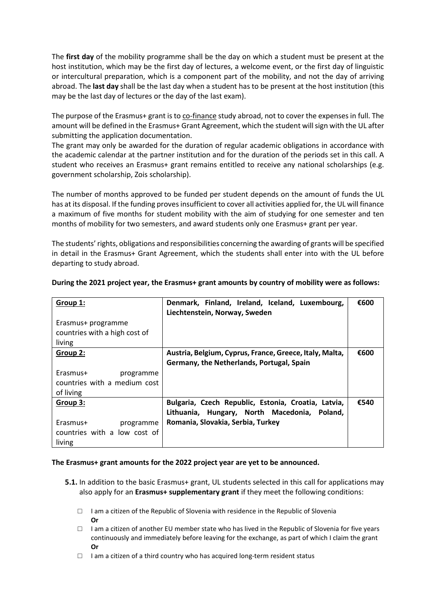The **first day** of the mobility programme shall be the day on which a student must be present at the host institution, which may be the first day of lectures, a welcome event, or the first day of linguistic or intercultural preparation, which is a component part of the mobility, and not the day of arriving abroad. The **last day** shall be the last day when a student has to be present at the host institution (this may be the last day of lectures or the day of the last exam).

The purpose of the Erasmus+ grant is to co-finance study abroad, not to cover the expenses in full. The amount will be defined in the Erasmus+ Grant Agreement, which the student will sign with the UL after submitting the application documentation.

The grant may only be awarded for the duration of regular academic obligations in accordance with the academic calendar at the partner institution and for the duration of the periods set in this call. A student who receives an Erasmus+ grant remains entitled to receive any national scholarships (e.g. government scholarship, Zois scholarship).

The number of months approved to be funded per student depends on the amount of funds the UL has at its disposal. If the funding proves insufficient to cover all activities applied for, the UL will finance a maximum of five months for student mobility with the aim of studying for one semester and ten months of mobility for two semesters, and award students only one Erasmus+ grant per year.

The students' rights, obligations and responsibilities concerning the awarding of grants will be specified in detail in the Erasmus+ Grant Agreement, which the students shall enter into with the UL before departing to study abroad.

| Group 1:                               | Denmark, Finland, Ireland, Iceland, Luxembourg,<br>Liechtenstein, Norway, Sweden                       | €600 |
|----------------------------------------|--------------------------------------------------------------------------------------------------------|------|
| Erasmus+ programme                     |                                                                                                        |      |
| countries with a high cost of          |                                                                                                        |      |
| living                                 |                                                                                                        |      |
| Group 2:                               | Austria, Belgium, Cyprus, France, Greece, Italy, Malta,<br>Germany, the Netherlands, Portugal, Spain   | €600 |
| Erasmus+<br>programme                  |                                                                                                        |      |
| countries with a medium cost           |                                                                                                        |      |
| of living                              |                                                                                                        |      |
| Group 3:                               | Bulgaria, Czech Republic, Estonia, Croatia, Latvia,<br>Lithuania, Hungary, North Macedonia,<br>Poland. | €540 |
| Erasmus+<br>programme                  | Romania, Slovakia, Serbia, Turkey                                                                      |      |
| countries with a low cost of<br>living |                                                                                                        |      |

### **During the 2021 project year, the Erasmus+ grant amounts by country of mobility were as follows:**

#### **The Erasmus+ grant amounts for the 2022 project year are yet to be announced.**

- **5.1.** In addition to the basic Erasmus+ grant, UL students selected in this call for applications may also apply for an **Erasmus+ supplementary grant** if they meet the following conditions:
	- $\Box$  I am a citizen of the Republic of Slovenia with residence in the Republic of Slovenia **Or**
	- $\Box$  I am a citizen of another EU member state who has lived in the Republic of Slovenia for five years continuously and immediately before leaving for the exchange, as part of which I claim the grant **Or**
	- □ I am a citizen of a third country who has acquired long-term resident status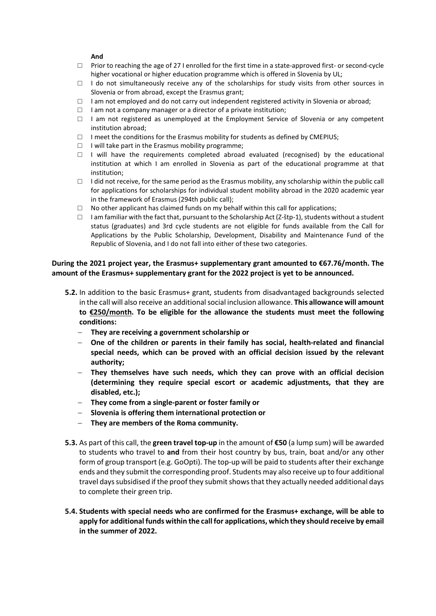#### **And**

- $\Box$  Prior to reaching the age of 27 I enrolled for the first time in a state-approved first- or second-cycle higher vocational or higher education programme which is offered in Slovenia by UL;
- $\Box$  I do not simultaneously receive any of the scholarships for study visits from other sources in Slovenia or from abroad, except the Erasmus grant;
- $\Box$  I am not employed and do not carry out independent registered activity in Slovenia or abroad;
- $\Box$  I am not a company manager or a director of a private institution;
- $\Box$  I am not registered as unemployed at the Employment Service of Slovenia or any competent institution abroad;
- $\Box$  I meet the conditions for the Erasmus mobility for students as defined by CMEPIUS;
- $\Box$  I will take part in the Erasmus mobility programme;
- □ I will have the requirements completed abroad evaluated (recognised) by the educational institution at which I am enrolled in Slovenia as part of the educational programme at that institution;
- $\Box$  I did not receive, for the same period as the Erasmus mobility, any scholarship within the public call for applications for scholarships for individual student mobility abroad in the 2020 academic year in the framework of Erasmus (294th public call);
- $\Box$  No other applicant has claimed funds on my behalf within this call for applications;
- $\Box$  I am familiar with the fact that, pursuant to the Scholarship Act (Z-štp-1), students without a student status (graduates) and 3rd cycle students are not eligible for funds available from the Call for Applications by the Public Scholarship, Development, Disability and Maintenance Fund of the Republic of Slovenia, and I do not fall into either of these two categories.

#### **During the 2021 project year, the Erasmus+ supplementary grant amounted to €67.76/month. The amount of the Erasmus+ supplementary grant for the 2022 project is yet to be announced.**

- **5.2.** In addition to the basic Erasmus+ grant, students from disadvantaged backgrounds selected in the call will also receive an additional social inclusion allowance. **This allowance will amount to €250/month. To be eligible for the allowance the students must meet the following conditions:**
	- − **They are receiving a government scholarship or**
	- − **One of the children or parents in their family has social, health-related and financial special needs, which can be proved with an official decision issued by the relevant authority;**
	- − **They themselves have such needs, which they can prove with an official decision (determining they require special escort or academic adjustments, that they are disabled, etc.);**
	- − **They come from a single-parent or foster family or**
	- − **Slovenia is offering them international protection or**
	- − **They are members of the Roma community.**
- **5.3.** As part of this call, the **green travel top-up** in the amount of **€50** (a lump sum) will be awarded to students who travel to **and** from their host country by bus, train, boat and/or any other form of group transport (e.g. GoOpti). The top-up will be paid to students after their exchange ends and they submit the corresponding proof. Students may also receive up to four additional travel days subsidised if the proof they submit shows that they actually needed additional days to complete their green trip.
- **5.4. Students with special needs who are confirmed for the Erasmus+ exchange, will be able to apply for additional funds within the call for applications, which they should receive by email in the summer of 2022.**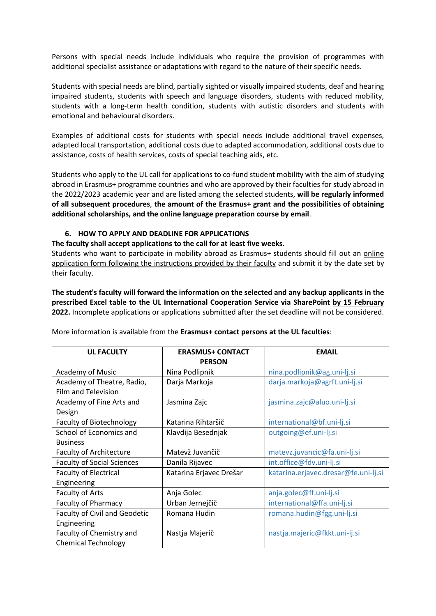Persons with special needs include individuals who require the provision of programmes with additional specialist assistance or adaptations with regard to the nature of their specific needs.

Students with special needs are blind, partially sighted or visually impaired students, deaf and hearing impaired students, students with speech and language disorders, students with reduced mobility, students with a long-term health condition, students with autistic disorders and students with emotional and behavioural disorders.

Examples of additional costs for students with special needs include additional travel expenses, adapted local transportation, additional costs due to adapted accommodation, additional costs due to assistance, costs of health services, costs of special teaching aids, etc.

Students who apply to the UL call for applications to co-fund student mobility with the aim of studying abroad in Erasmus+ programme countries and who are approved by their faculties for study abroad in the 2022/2023 academic year and are listed among the selected students, **will be regularly informed of all subsequent procedures**, **the amount of the Erasmus+ grant and the possibilities of obtaining additional scholarships, and the online language preparation course by email**.

#### **6. HOW TO APPLY AND DEADLINE FOR APPLICATIONS**

**The faculty shall accept applications to the call for at least five weeks.**

Students who want to participate in mobility abroad as Erasmus+ students should fill out an online application form following the instructions provided by their faculty and submit it by the date set by their faculty.

**The student's faculty will forward the information on the selected and any backup applicants in the prescribed Excel table to the UL International Cooperation Service via SharePoint by 15 February 2022.** Incomplete applications or applications submitted after the set deadline will not be considered.

| <b>UL FACULTY</b>                    | <b>ERASMUS+ CONTACT</b> | <b>EMAIL</b>                         |
|--------------------------------------|-------------------------|--------------------------------------|
|                                      | <b>PERSON</b>           |                                      |
| <b>Academy of Music</b>              | Nina Podlipnik          | nina.podlipnik@ag.uni-lj.si          |
| Academy of Theatre, Radio,           | Darja Markoja           | darja.markoja@agrft.uni-lj.si        |
| Film and Television                  |                         |                                      |
| Academy of Fine Arts and             | Jasmina Zajc            | jasmina.zajc@aluo.uni-lj.si          |
| Design                               |                         |                                      |
| <b>Faculty of Biotechnology</b>      | Katarina Rihtaršič      | international@bf.uni-lj.si           |
| School of Economics and              | Klavdija Besednjak      | outgoing@ef.uni-lj.si                |
| <b>Business</b>                      |                         |                                      |
| <b>Faculty of Architecture</b>       | Matevž Juvančič         | matevz.juvancic@fa.uni-lj.si         |
| <b>Faculty of Social Sciences</b>    | Danila Rijavec          | int.office@fdv.uni-lj.si             |
| <b>Faculty of Electrical</b>         | Katarina Erjavec Drešar | katarina.erjavec.dresar@fe.uni-lj.si |
| Engineering                          |                         |                                      |
| <b>Faculty of Arts</b>               | Anja Golec              | anja.golec@ff.uni-lj.si              |
| <b>Faculty of Pharmacy</b>           | Urban Jernejčič         | international@ffa.uni-lj.si          |
| <b>Faculty of Civil and Geodetic</b> | Romana Hudin            | romana.hudin@fgg.uni-lj.si           |
| Engineering                          |                         |                                      |
| Faculty of Chemistry and             | Nastja Majerič          | nastja.majeric@fkkt.uni-lj.si        |
| <b>Chemical Technology</b>           |                         |                                      |

More information is available from the **Erasmus+ contact persons at the UL faculties**: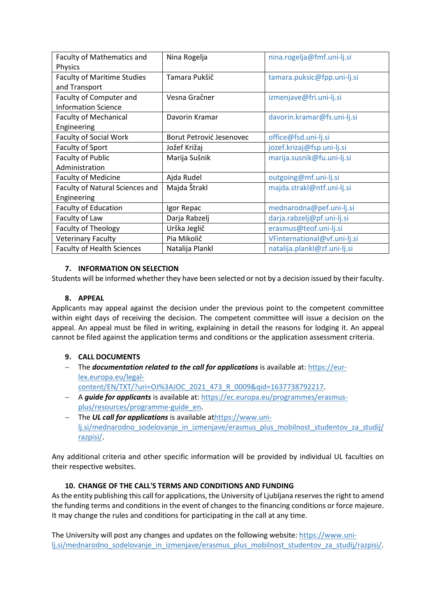| Faculty of Mathematics and<br><b>Physics</b> | Nina Rogelja             | nina.rogelja@fmf.uni-lj.si   |
|----------------------------------------------|--------------------------|------------------------------|
| <b>Faculty of Maritime Studies</b>           | Tamara Pukšič            | tamara.puksic@fpp.uni-lj.si  |
| and Transport                                |                          |                              |
| Faculty of Computer and                      | Vesna Gračner            | izmenjave@fri.uni-lj.si      |
| <b>Information Science</b>                   |                          |                              |
| <b>Faculty of Mechanical</b>                 | Davorin Kramar           | davorin.kramar@fs.uni-lj.si  |
| Engineering                                  |                          |                              |
| <b>Faculty of Social Work</b>                | Borut Petrović Jesenovec | office@fsd.uni-lj.si         |
| Faculty of Sport                             | Jožef Križaj             | jozef.krizaj@fsp.uni-lj.si   |
| Faculty of Public                            | Marija Sušnik            | marija.susnik@fu.uni-lj.si   |
| Administration                               |                          |                              |
| <b>Faculty of Medicine</b>                   | Ajda Rudel               | outgoing@mf.uni-lj.si        |
| Faculty of Natural Sciences and              | Majda Štrakl             | majda.strakl@ntf.uni-lj.si   |
| Engineering                                  |                          |                              |
| <b>Faculty of Education</b>                  | Igor Repac               | mednarodna@pef.uni-lj.si     |
| Faculty of Law                               | Darja Rabzelj            | darja.rabzelj@pf.uni-lj.si   |
| <b>Faculty of Theology</b>                   | Urška Jeglič             | erasmus@teof.uni-lj.si       |
| <b>Veterinary Faculty</b>                    | Pia Mikolič              | VFinternational@vf.uni-lj.si |
| <b>Faculty of Health Sciences</b>            | Natalija Plankl          | natalija.plankl@zf.uni-lj.si |

### **7. INFORMATION ON SELECTION**

Students will be informed whether they have been selected or not by a decision issued by their faculty.

### **8. APPEAL**

Applicants may appeal against the decision under the previous point to the competent committee within eight days of receiving the decision. The competent committee will issue a decision on the appeal. An appeal must be filed in writing, explaining in detail the reasons for lodging it. An appeal cannot be filed against the application terms and conditions or the application assessment criteria.

## **9. CALL DOCUMENTS**

- − The *documentation related to the call for applications* is available at: https://eurlex.europa.eu/legalcontent/EN/TXT/?uri=OJ%3AJOC\_2021\_473\_R\_0009&qid=1637738792217.
- − A *guide for applicants* is available at: https://ec.europa.eu/programmes/erasmusplus/resources/programme-guide\_en.
- − The *UL call for applications* is available athttps://www.unilj.si/mednarodno\_sodelovanje\_in\_izmenjave/erasmus\_plus\_mobilnost\_studentov\_za\_studij/ razpisi/.

Any additional criteria and other specific information will be provided by individual UL faculties on their respective websites.

### **10. CHANGE OF THE CALL'S TERMS AND CONDITIONS AND FUNDING**

As the entity publishing this call for applications, the University of Ljubljana reserves the right to amend the funding terms and conditions in the event of changes to the financing conditions or force majeure. It may change the rules and conditions for participating in the call at any time.

The University will post any changes and updates on the following website: https://www.unilj.si/mednarodno\_sodelovanje\_in\_izmenjave/erasmus\_plus\_mobilnost\_studentov\_za\_studij/razpisi/.